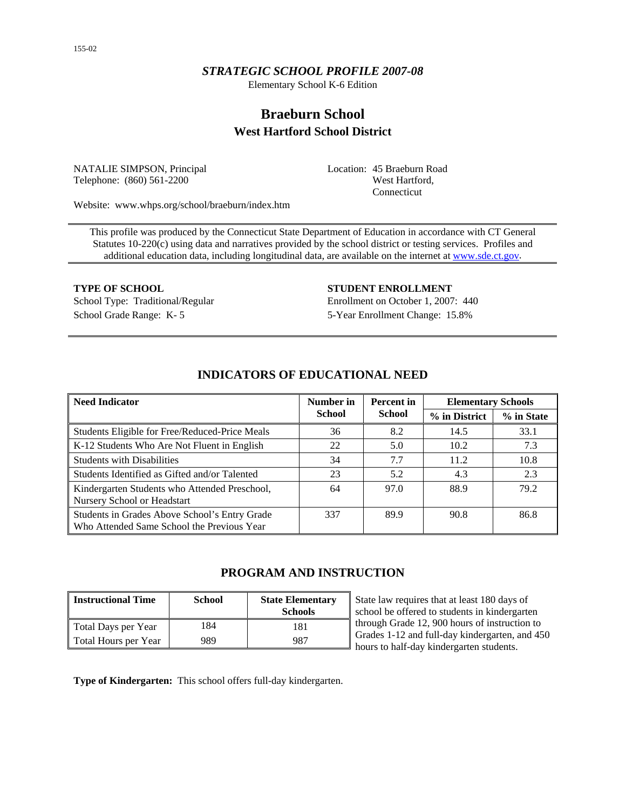# *STRATEGIC SCHOOL PROFILE 2007-08*

Elementary School K-6 Edition

# **Braeburn School West Hartford School District**

NATALIE SIMPSON, Principal Telephone: (860) 561-2200

Location: 45 Braeburn Road West Hartford, Connecticut

Website: www.whps.org/school/braeburn/index.htm

This profile was produced by the Connecticut State Department of Education in accordance with CT General Statutes 10-220(c) using data and narratives provided by the school district or testing services. Profiles and additional education data, including longitudinal data, are available on the internet at [www.sde.ct.gov.](http://www.sde.ct.gov/)

**TYPE OF SCHOOL STUDENT ENROLLMENT** School Type: Traditional/Regular Enrollment on October 1, 2007: 440 School Grade Range: K- 5 5-Year Enrollment Change: 15.8%

| <b>Need Indicator</b>                                                                       | Number in     | <b>Percent</b> in | <b>Elementary Schools</b> |            |  |
|---------------------------------------------------------------------------------------------|---------------|-------------------|---------------------------|------------|--|
|                                                                                             | <b>School</b> | <b>School</b>     | % in District             | % in State |  |
| Students Eligible for Free/Reduced-Price Meals                                              | 36            | 8.2               | 14.5                      | 33.1       |  |
| K-12 Students Who Are Not Fluent in English                                                 | 22            | 5.0               | 10.2                      | 7.3        |  |
| <b>Students with Disabilities</b>                                                           | 34            | 7.7               | 11.2                      | 10.8       |  |
| Students Identified as Gifted and/or Talented                                               | 23            | 5.2               | 4.3                       | 2.3        |  |
| Kindergarten Students who Attended Preschool,<br>Nursery School or Headstart                | 64            | 97.0              | 88.9                      | 79.2       |  |
| Students in Grades Above School's Entry Grade<br>Who Attended Same School the Previous Year | 337           | 89.9              | 90.8                      | 86.8       |  |

## **INDICATORS OF EDUCATIONAL NEED**

# **PROGRAM AND INSTRUCTION**

| <b>Instructional Time</b> | <b>School</b> | <b>State Elementary</b><br><b>Schools</b> |
|---------------------------|---------------|-------------------------------------------|
| Total Days per Year       | 184           | 181                                       |
| Total Hours per Year      | 989           | 987                                       |

State law requires that at least 180 days of school be offered to students in kindergarten through Grade 12, 900 hours of instruction to Grades 1-12 and full-day kindergarten, and 450 hours to half-day kindergarten students.

**Type of Kindergarten:** This school offers full-day kindergarten.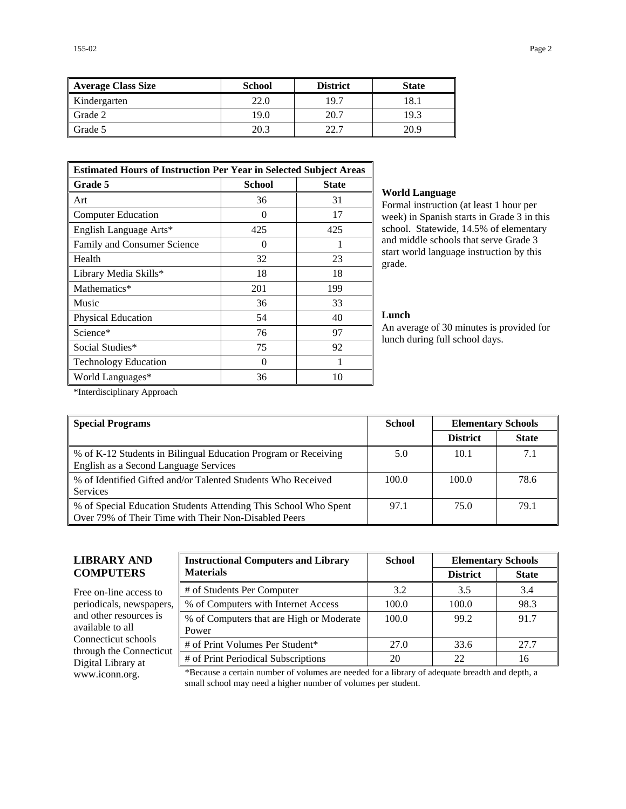| Average Class Size | <b>School</b> | <b>District</b> | <b>State</b> |
|--------------------|---------------|-----------------|--------------|
| Kindergarten       | 22.0          | 19.7            | 18.1         |
| Grade 2            | 19.0          | 20.7            | 19.3         |
| Grade 5            | 20.3          | วว 7            | 20.9         |

| <b>Estimated Hours of Instruction Per Year in Selected Subject Areas</b> |                   |              |  |  |  |
|--------------------------------------------------------------------------|-------------------|--------------|--|--|--|
| <b>Grade 5</b>                                                           | <b>School</b>     | <b>State</b> |  |  |  |
| Art                                                                      | 36                | 31           |  |  |  |
| <b>Computer Education</b>                                                | $\mathbf{\Omega}$ | 17           |  |  |  |
| English Language Arts*                                                   | 425               | 425          |  |  |  |
| Family and Consumer Science                                              | $\mathbf{\Omega}$ |              |  |  |  |
| Health                                                                   | 32                | 23           |  |  |  |
| Library Media Skills*                                                    | 18                | 18           |  |  |  |
| Mathematics*                                                             | 201               | 199          |  |  |  |
| Music                                                                    | 36                | 33           |  |  |  |
| <b>Physical Education</b>                                                | 54                | 40           |  |  |  |
| Science*                                                                 | 76                | 97           |  |  |  |
| Social Studies*                                                          | 75                | 92           |  |  |  |
| <b>Technology Education</b>                                              | 0                 | 1            |  |  |  |
| World Languages*                                                         | 36                | 10           |  |  |  |

#### **World Language**

Formal instruction (at least 1 hour per week) in Spanish starts in Grade 3 in this school. Statewide, 14.5% of elementary and middle schools that serve Grade 3 start world language instruction by this grade.

#### **Lunch**

An average of 30 minutes is provided for lunch during full school days.

\*Interdisciplinary Approach

| <b>Special Programs</b>                                                                                                 | <b>School</b> | <b>Elementary Schools</b> |              |
|-------------------------------------------------------------------------------------------------------------------------|---------------|---------------------------|--------------|
|                                                                                                                         |               | <b>District</b>           | <b>State</b> |
| % of K-12 Students in Bilingual Education Program or Receiving<br>English as a Second Language Services                 | 5.0           | 10.1                      | 7.1          |
| % of Identified Gifted and/or Talented Students Who Received<br><b>Services</b>                                         | 100.0         | 100.0                     | 78.6         |
| % of Special Education Students Attending This School Who Spent<br>Over 79% of Their Time with Their Non-Disabled Peers | 97.1          | 75.0                      | 79.1         |

# **LIBRARY AND COMPUTERS**

Free on-line access to periodicals, newspapers, and other resources is available to all Connecticut schools through the Connecticut Digital Library at

| <b>Instructional Computers and Library</b>        | <b>School</b> | <b>Elementary Schools</b> |              |  |
|---------------------------------------------------|---------------|---------------------------|--------------|--|
| <b>Materials</b>                                  |               | <b>District</b>           | <b>State</b> |  |
| # of Students Per Computer                        | 3.2           | 3.5                       | 3.4          |  |
| % of Computers with Internet Access               | 100.0         | 100.0                     | 98.3         |  |
| % of Computers that are High or Moderate<br>Power | 100.0         | 99.2                      | 91.7         |  |
| # of Print Volumes Per Student*                   | 27.0          | 33.6                      | 27.7         |  |
| # of Print Periodical Subscriptions               | 20            | 22                        | 16           |  |

www.iconn.org. \*Because a certain number of volumes are needed for a library of adequate breadth and depth, a small school may need a higher number of volumes per student.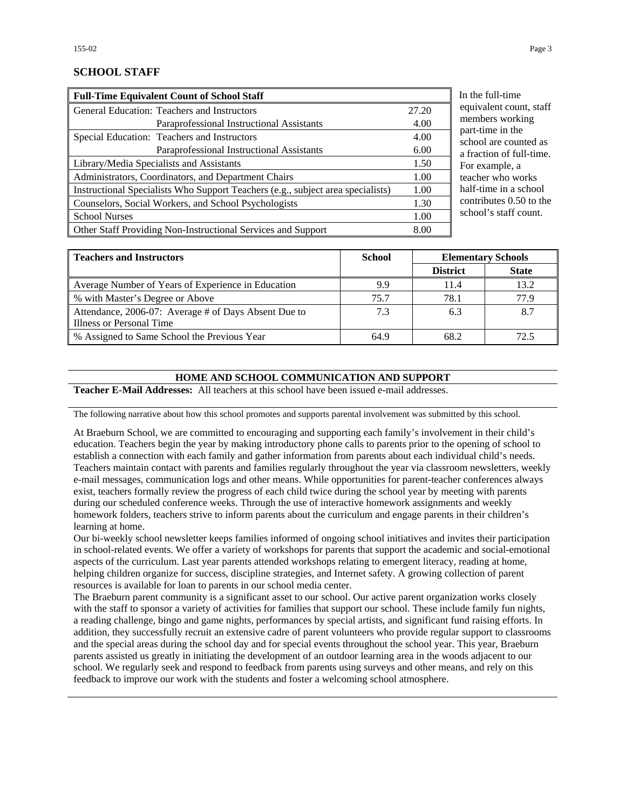### **SCHOOL STAFF**

| <b>Full-Time Equivalent Count of School Staff</b>                               |       |
|---------------------------------------------------------------------------------|-------|
| General Education: Teachers and Instructors                                     | 27.20 |
| Paraprofessional Instructional Assistants                                       | 4.00  |
| Special Education: Teachers and Instructors                                     | 4.00  |
| Paraprofessional Instructional Assistants                                       | 6.00  |
| Library/Media Specialists and Assistants                                        | 1.50  |
| Administrators, Coordinators, and Department Chairs                             | 1.00  |
| Instructional Specialists Who Support Teachers (e.g., subject area specialists) | 1.00  |
| Counselors, Social Workers, and School Psychologists                            | 1.30  |
| <b>School Nurses</b>                                                            | 1.00  |
| Other Staff Providing Non-Instructional Services and Support                    | 8.00  |

the full-time uivalent count, staff members working rt-time in the hool are counted as raction of full-time. r example, a cher who works lf-time in a school ntributes  $0.50$  to the nool's staff count.

| <b>School</b><br><b>Teachers and Instructors</b>     |      | <b>Elementary Schools</b> |              |
|------------------------------------------------------|------|---------------------------|--------------|
|                                                      |      | <b>District</b>           | <b>State</b> |
| Average Number of Years of Experience in Education   | 9.9  | 11.4                      | 13.2         |
| % with Master's Degree or Above                      | 75.7 | 78.1                      | 77.9         |
| Attendance, 2006-07: Average # of Days Absent Due to | 7.3  | 6.3                       | 8.7          |
| Illness or Personal Time                             |      |                           |              |
| % Assigned to Same School the Previous Year          | 64.9 | 68.2                      | 72.5         |

#### **HOME AND SCHOOL COMMUNICATION AND SUPPORT**

**Teacher E-Mail Addresses:** All teachers at this school have been issued e-mail addresses.

The following narrative about how this school promotes and supports parental involvement was submitted by this school.

At Braeburn School, we are committed to encouraging and supporting each family's involvement in their child's education. Teachers begin the year by making introductory phone calls to parents prior to the opening of school to establish a connection with each family and gather information from parents about each individual child's needs. Teachers maintain contact with parents and families regularly throughout the year via classroom newsletters, weekly e-mail messages, communication logs and other means. While opportunities for parent-teacher conferences always exist, teachers formally review the progress of each child twice during the school year by meeting with parents during our scheduled conference weeks. Through the use of interactive homework assignments and weekly homework folders, teachers strive to inform parents about the curriculum and engage parents in their children's learning at home.

Our bi-weekly school newsletter keeps families informed of ongoing school initiatives and invites their participation in school-related events. We offer a variety of workshops for parents that support the academic and social-emotional aspects of the curriculum. Last year parents attended workshops relating to emergent literacy, reading at home, helping children organize for success, discipline strategies, and Internet safety. A growing collection of parent resources is available for loan to parents in our school media center.

The Braeburn parent community is a significant asset to our school. Our active parent organization works closely with the staff to sponsor a variety of activities for families that support our school. These include family fun nights, a reading challenge, bingo and game nights, performances by special artists, and significant fund raising efforts. In addition, they successfully recruit an extensive cadre of parent volunteers who provide regular support to classrooms and the special areas during the school day and for special events throughout the school year. This year, Braeburn parents assisted us greatly in initiating the development of an outdoor learning area in the woods adjacent to our school. We regularly seek and respond to feedback from parents using surveys and other means, and rely on this feedback to improve our work with the students and foster a welcoming school atmosphere.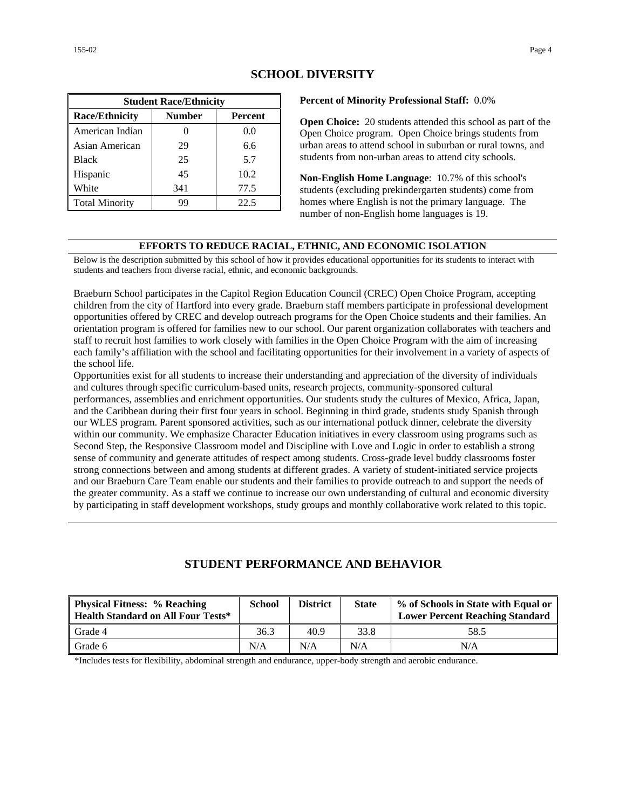| <b>Student Race/Ethnicity</b>              |     |      |  |  |  |  |
|--------------------------------------------|-----|------|--|--|--|--|
| <b>Race/Ethnicity</b><br>Number<br>Percent |     |      |  |  |  |  |
| American Indian                            |     | 0.0  |  |  |  |  |
| Asian American                             | 29  | 6.6  |  |  |  |  |
| <b>Black</b>                               | 25  | 5.7  |  |  |  |  |
| Hispanic                                   | 45  | 10.2 |  |  |  |  |
| White                                      | 341 | 77.5 |  |  |  |  |
| <b>Total Minority</b>                      | 99  | 22.5 |  |  |  |  |

## **SCHOOL DIVERSITY**

#### **Percent of Minority Professional Staff:** 0.0%

**Open Choice:** 20 students attended this school as part of the Open Choice program. Open Choice brings students from urban areas to attend school in suburban or rural towns, and students from non-urban areas to attend city schools.

**Non-English Home Language**: 10.7% of this school's students (excluding prekindergarten students) come from homes where English is not the primary language. The number of non-English home languages is 19.

#### **EFFORTS TO REDUCE RACIAL, ETHNIC, AND ECONOMIC ISOLATION**

Below is the description submitted by this school of how it provides educational opportunities for its students to interact with students and teachers from diverse racial, ethnic, and economic backgrounds.

Braeburn School participates in the Capitol Region Education Council (CREC) Open Choice Program, accepting children from the city of Hartford into every grade. Braeburn staff members participate in professional development opportunities offered by CREC and develop outreach programs for the Open Choice students and their families. An orientation program is offered for families new to our school. Our parent organization collaborates with teachers and staff to recruit host families to work closely with families in the Open Choice Program with the aim of increasing each family's affiliation with the school and facilitating opportunities for their involvement in a variety of aspects of the school life.

Opportunities exist for all students to increase their understanding and appreciation of the diversity of individuals and cultures through specific curriculum-based units, research projects, community-sponsored cultural performances, assemblies and enrichment opportunities. Our students study the cultures of Mexico, Africa, Japan, and the Caribbean during their first four years in school. Beginning in third grade, students study Spanish through our WLES program. Parent sponsored activities, such as our international potluck dinner, celebrate the diversity within our community. We emphasize Character Education initiatives in every classroom using programs such as Second Step, the Responsive Classroom model and Discipline with Love and Logic in order to establish a strong sense of community and generate attitudes of respect among students. Cross-grade level buddy classrooms foster strong connections between and among students at different grades. A variety of student-initiated service projects and our Braeburn Care Team enable our students and their families to provide outreach to and support the needs of the greater community. As a staff we continue to increase our own understanding of cultural and economic diversity by participating in staff development workshops, study groups and monthly collaborative work related to this topic.

# **STUDENT PERFORMANCE AND BEHAVIOR**

| <b>Physical Fitness: % Reaching</b><br><b>Health Standard on All Four Tests*</b> | <b>School</b> | <b>District</b> | <b>State</b> | % of Schools in State with Equal or<br><b>Lower Percent Reaching Standard</b> |
|----------------------------------------------------------------------------------|---------------|-----------------|--------------|-------------------------------------------------------------------------------|
| Grade 4                                                                          | 36.3          | 40.9            | 33.8         | 58.5                                                                          |
| Grade 6                                                                          | N/A           | N/A             | N/A          | N/A                                                                           |

\*Includes tests for flexibility, abdominal strength and endurance, upper-body strength and aerobic endurance.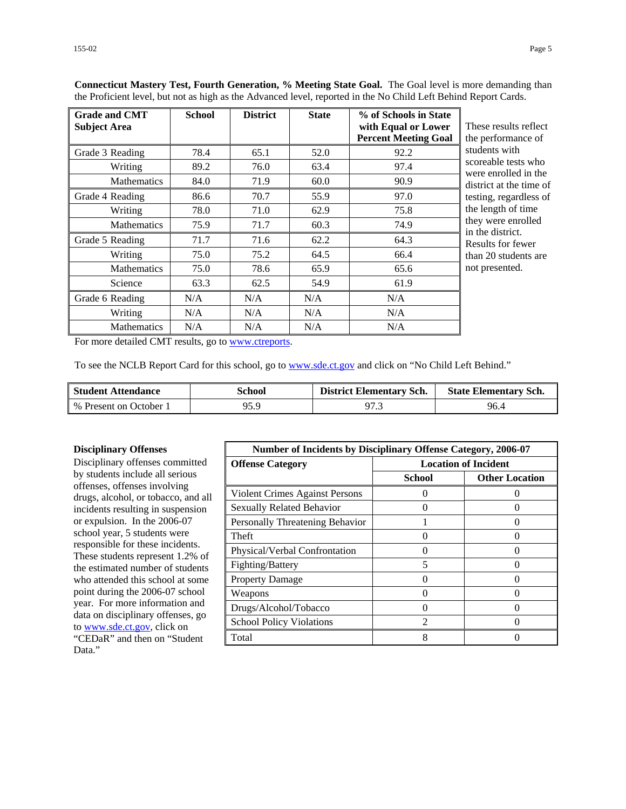| <b>Grade and CMT</b><br><b>Subject Area</b> | <b>School</b> | <b>District</b> | <b>State</b> | % of Schools in State<br>with Equal or Lower<br><b>Percent Meeting Goal</b> | These results reflect<br>the performance of |
|---------------------------------------------|---------------|-----------------|--------------|-----------------------------------------------------------------------------|---------------------------------------------|
| Grade 3 Reading                             | 78.4          | 65.1            | 52.0         | 92.2                                                                        | students with                               |
| Writing                                     | 89.2          | 76.0            | 63.4         | 97.4                                                                        | scoreable tests who<br>were enrolled in the |
| <b>Mathematics</b>                          | 84.0          | 71.9            | 60.0         | 90.9                                                                        | district at the time of                     |
| Grade 4 Reading                             | 86.6          | 70.7            | 55.9         | 97.0                                                                        | testing, regardless of                      |
| Writing                                     | 78.0          | 71.0            | 62.9         | 75.8                                                                        | the length of time                          |
| <b>Mathematics</b>                          | 75.9          | 71.7            | 60.3         | 74.9                                                                        | they were enrolled<br>in the district.      |
| Grade 5 Reading                             | 71.7          | 71.6            | 62.2         | 64.3                                                                        | Results for fewer                           |
| Writing                                     | 75.0          | 75.2            | 64.5         | 66.4                                                                        | than 20 students are                        |
| <b>Mathematics</b>                          | 75.0          | 78.6            | 65.9         | 65.6                                                                        | not presented.                              |
| Science                                     | 63.3          | 62.5            | 54.9         | 61.9                                                                        |                                             |
| Grade 6 Reading                             | N/A           | N/A             | N/A          | N/A                                                                         |                                             |
| Writing                                     | N/A           | N/A             | N/A          | N/A                                                                         |                                             |
| <b>Mathematics</b>                          | N/A           | N/A             | N/A          | N/A                                                                         |                                             |

**Connecticut Mastery Test, Fourth Generation, % Meeting State Goal.** The Goal level is more demanding than the Proficient level, but not as high as the Advanced level, reported in the No Child Left Behind Report Cards.

For more detailed CMT results, go to [www.ctreports.](http://www.ctreports/)

To see the NCLB Report Card for this school, go to [www.sde.ct.gov](http://www.sde.ct.gov/) and click on "No Child Left Behind."

| <b>Student Attendance</b> | School | <b>District Elementary Sch.</b> | <b>State Elementary Sch.</b> |
|---------------------------|--------|---------------------------------|------------------------------|
| % Present on October 1    | 95.9   | 97.3                            | 96.4                         |

#### **Disciplinary Offenses**

Disciplinary offenses committed by students include all serious offenses, offenses involving drugs, alcohol, or tobacco, and all incidents resulting in suspension or expulsion. In the 2006-07 school year, 5 students were responsible for these incidents. These students represent 1.2% of the estimated number of students who attended this school at some point during the 2006-07 school year. For more information and data on disciplinary offenses, go to [www.sde.ct.gov](http://www.sde.ct.gov/), click on "CEDaR" and then on "Student Data."

| <b>Number of Incidents by Disciplinary Offense Category, 2006-07</b> |                             |                       |
|----------------------------------------------------------------------|-----------------------------|-----------------------|
| <b>Offense Category</b>                                              | <b>Location of Incident</b> |                       |
|                                                                      | <b>School</b>               | <b>Other Location</b> |
| Violent Crimes Against Persons                                       | 0                           |                       |
| <b>Sexually Related Behavior</b>                                     |                             |                       |
| Personally Threatening Behavior                                      |                             |                       |
| Theft                                                                | 0                           |                       |
| Physical/Verbal Confrontation                                        |                             |                       |
| Fighting/Battery                                                     | 5                           |                       |
| <b>Property Damage</b>                                               | $\mathbf{r}$                | 0                     |
| Weapons                                                              |                             |                       |
| Drugs/Alcohol/Tobacco                                                | $\Omega$                    |                       |
| <b>School Policy Violations</b>                                      | っ                           |                       |
| Total                                                                | 8                           |                       |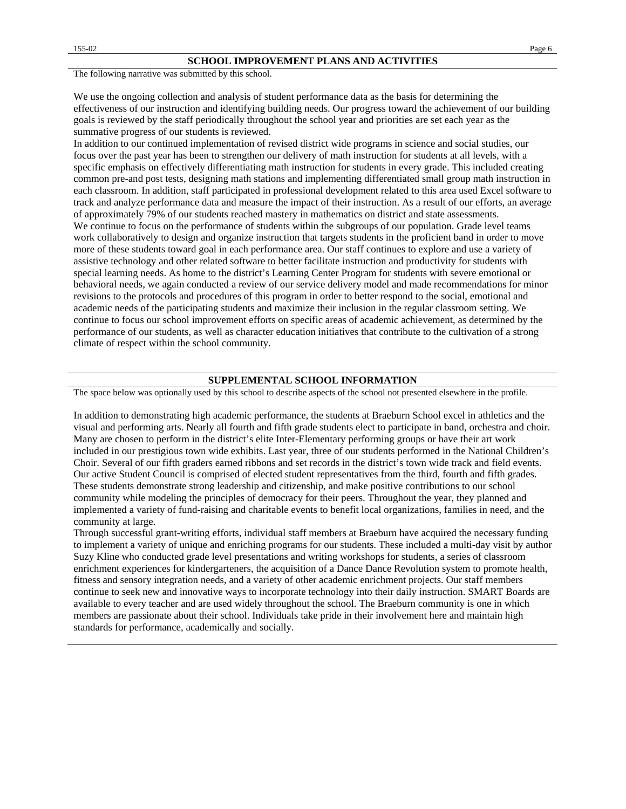The following narrative was submitted by this school.

We use the ongoing collection and analysis of student performance data as the basis for determining the effectiveness of our instruction and identifying building needs. Our progress toward the achievement of our building goals is reviewed by the staff periodically throughout the school year and priorities are set each year as the summative progress of our students is reviewed.

In addition to our continued implementation of revised district wide programs in science and social studies, our focus over the past year has been to strengthen our delivery of math instruction for students at all levels, with a specific emphasis on effectively differentiating math instruction for students in every grade. This included creating common pre-and post tests, designing math stations and implementing differentiated small group math instruction in each classroom. In addition, staff participated in professional development related to this area used Excel software to track and analyze performance data and measure the impact of their instruction. As a result of our efforts, an average of approximately 79% of our students reached mastery in mathematics on district and state assessments. We continue to focus on the performance of students within the subgroups of our population. Grade level teams work collaboratively to design and organize instruction that targets students in the proficient band in order to move more of these students toward goal in each performance area. Our staff continues to explore and use a variety of assistive technology and other related software to better facilitate instruction and productivity for students with special learning needs. As home to the district's Learning Center Program for students with severe emotional or behavioral needs, we again conducted a review of our service delivery model and made recommendations for minor revisions to the protocols and procedures of this program in order to better respond to the social, emotional and academic needs of the participating students and maximize their inclusion in the regular classroom setting. We continue to focus our school improvement efforts on specific areas of academic achievement, as determined by the performance of our students, as well as character education initiatives that contribute to the cultivation of a strong climate of respect within the school community.

#### **SUPPLEMENTAL SCHOOL INFORMATION**

The space below was optionally used by this school to describe aspects of the school not presented elsewhere in the profile.

In addition to demonstrating high academic performance, the students at Braeburn School excel in athletics and the visual and performing arts. Nearly all fourth and fifth grade students elect to participate in band, orchestra and choir. Many are chosen to perform in the district's elite Inter-Elementary performing groups or have their art work included in our prestigious town wide exhibits. Last year, three of our students performed in the National Children's Choir. Several of our fifth graders earned ribbons and set records in the district's town wide track and field events. Our active Student Council is comprised of elected student representatives from the third, fourth and fifth grades. These students demonstrate strong leadership and citizenship, and make positive contributions to our school community while modeling the principles of democracy for their peers. Throughout the year, they planned and implemented a variety of fund-raising and charitable events to benefit local organizations, families in need, and the community at large.

Through successful grant-writing efforts, individual staff members at Braeburn have acquired the necessary funding to implement a variety of unique and enriching programs for our students. These included a multi-day visit by author Suzy Kline who conducted grade level presentations and writing workshops for students, a series of classroom enrichment experiences for kindergarteners, the acquisition of a Dance Dance Revolution system to promote health, fitness and sensory integration needs, and a variety of other academic enrichment projects. Our staff members continue to seek new and innovative ways to incorporate technology into their daily instruction. SMART Boards are available to every teacher and are used widely throughout the school. The Braeburn community is one in which members are passionate about their school. Individuals take pride in their involvement here and maintain high standards for performance, academically and socially.